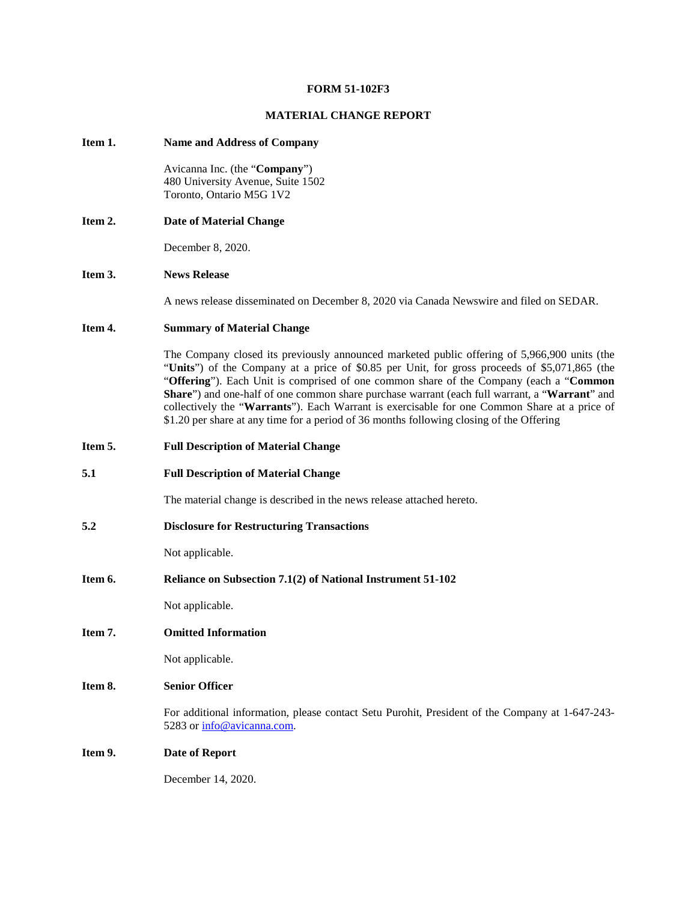## **FORM 51-102F3**

## **MATERIAL CHANGE REPORT**

# **Item 1. Name and Address of Company**  Avicanna Inc. (the "**Company**") 480 University Avenue, Suite 1502 Toronto, Ontario M5G 1V2 **Item 2. Date of Material Change** December 8, 2020. **Item 3. News Release**  A news release disseminated on December 8, 2020 via Canada Newswire and filed on SEDAR. **Item 4. Summary of Material Change**  The Company closed its previously announced marketed public offering of 5,966,900 units (the "**Units**") of the Company at a price of \$0.85 per Unit, for gross proceeds of \$5,071,865 (the "**Offering**"). Each Unit is comprised of one common share of the Company (each a "**Common Share**") and one-half of one common share purchase warrant (each full warrant, a "**Warrant**" and collectively the "**Warrants**"). Each Warrant is exercisable for one Common Share at a price of \$1.20 per share at any time for a period of 36 months following closing of the Offering **Item 5. Full Description of Material Change 5.1 Full Description of Material Change**  The material change is described in the news release attached hereto. **5.2 Disclosure for Restructuring Transactions** Not applicable. **Item 6. Reliance on Subsection 7.1(2) of National Instrument 51-102** Not applicable. **Item 7. Omitted Information** Not applicable. **Item 8. Senior Officer**  For additional information, please contact Setu Purohit, President of the Company at 1-647-243 5283 or [info@avicanna.com.](mailto:info@avicanna.com) **Item 9. Date of Report** December 14, 2020.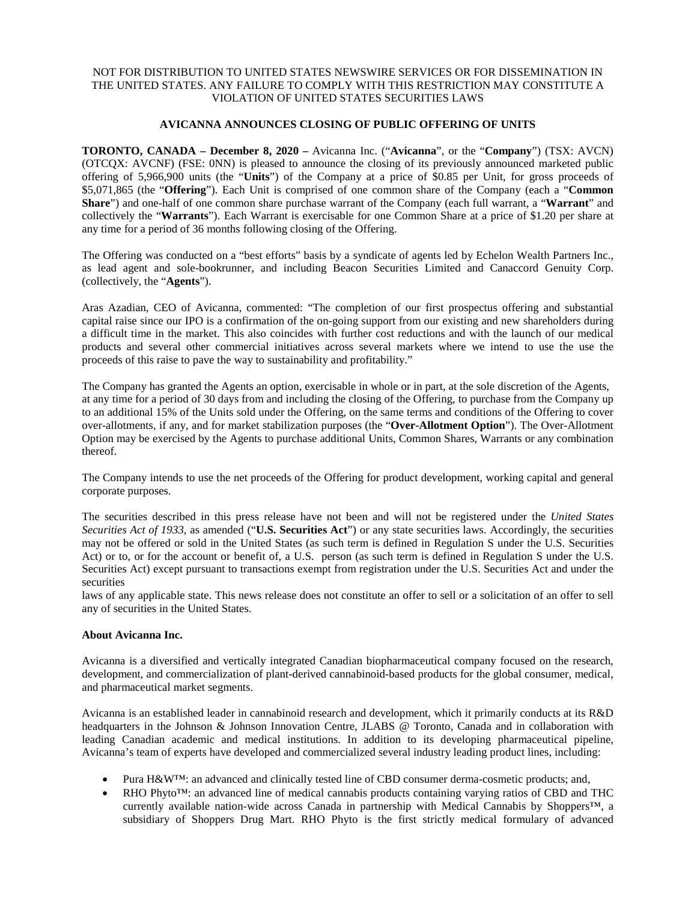## NOT FOR DISTRIBUTION TO UNITED STATES NEWSWIRE SERVICES OR FOR DISSEMINATION IN THE UNITED STATES. ANY FAILURE TO COMPLY WITH THIS RESTRICTION MAY CONSTITUTE A VIOLATION OF UNITED STATES SECURITIES LAWS

## **AVICANNA ANNOUNCES CLOSING OF PUBLIC OFFERING OF UNITS**

**TORONTO, CANADA – December 8, 2020 –** Avicanna Inc. ("**Avicanna**", or the "**Company**") (TSX: AVCN) (OTCQX: AVCNF) (FSE: 0NN) is pleased to announce the closing of its previously announced marketed public offering of 5,966,900 units (the "**Units**") of the Company at a price of \$0.85 per Unit, for gross proceeds of \$5,071,865 (the "**Offering**"). Each Unit is comprised of one common share of the Company (each a "**Common Share**") and one-half of one common share purchase warrant of the Company (each full warrant, a "**Warrant**" and collectively the "**Warrants**"). Each Warrant is exercisable for one Common Share at a price of \$1.20 per share at any time for a period of 36 months following closing of the Offering.

The Offering was conducted on a "best efforts" basis by a syndicate of agents led by Echelon Wealth Partners Inc., as lead agent and sole-bookrunner, and including Beacon Securities Limited and Canaccord Genuity Corp. (collectively, the "**Agents**").

Aras Azadian, CEO of Avicanna, commented: "The completion of our first prospectus offering and substantial capital raise since our IPO is a confirmation of the on-going support from our existing and new shareholders during a difficult time in the market. This also coincides with further cost reductions and with the launch of our medical products and several other commercial initiatives across several markets where we intend to use the use the proceeds of this raise to pave the way to sustainability and profitability."

The Company has granted the Agents an option, exercisable in whole or in part, at the sole discretion of the Agents, at any time for a period of 30 days from and including the closing of the Offering, to purchase from the Company up to an additional 15% of the Units sold under the Offering, on the same terms and conditions of the Offering to cover over-allotments, if any, and for market stabilization purposes (the "**Over-Allotment Option**"). The Over-Allotment Option may be exercised by the Agents to purchase additional Units, Common Shares, Warrants or any combination thereof.

The Company intends to use the net proceeds of the Offering for product development, working capital and general corporate purposes.

The securities described in this press release have not been and will not be registered under the *United States Securities Act of 1933*, as amended ("**U.S. Securities Act**") or any state securities laws. Accordingly, the securities may not be offered or sold in the United States (as such term is defined in Regulation S under the U.S. Securities Act) or to, or for the account or benefit of, a U.S. person (as such term is defined in Regulation S under the U.S. Securities Act) except pursuant to transactions exempt from registration under the U.S. Securities Act and under the securities

laws of any applicable state. This news release does not constitute an offer to sell or a solicitation of an offer to sell any of securities in the United States.

## **About Avicanna Inc.**

Avicanna is a diversified and vertically integrated Canadian biopharmaceutical company focused on the research, development, and commercialization of plant-derived cannabinoid-based products for the global consumer, medical, and pharmaceutical market segments.

Avicanna is an established leader in cannabinoid research and development, which it primarily conducts at its R&D headquarters in the Johnson & Johnson Innovation Centre, JLABS @ Toronto, Canada and in collaboration with leading Canadian academic and medical institutions. In addition to its developing pharmaceutical pipeline, Avicanna's team of experts have developed and commercialized several industry leading product lines, including:

- Pura H&W™: an advanced and clinically tested line of CBD consumer derma-cosmetic products; and,
- RHO Phyto™: an advanced line of medical cannabis products containing varying ratios of CBD and THC currently available nation-wide across Canada in partnership with Medical Cannabis by Shoppers™, a subsidiary of Shoppers Drug Mart. RHO Phyto is the first strictly medical formulary of advanced